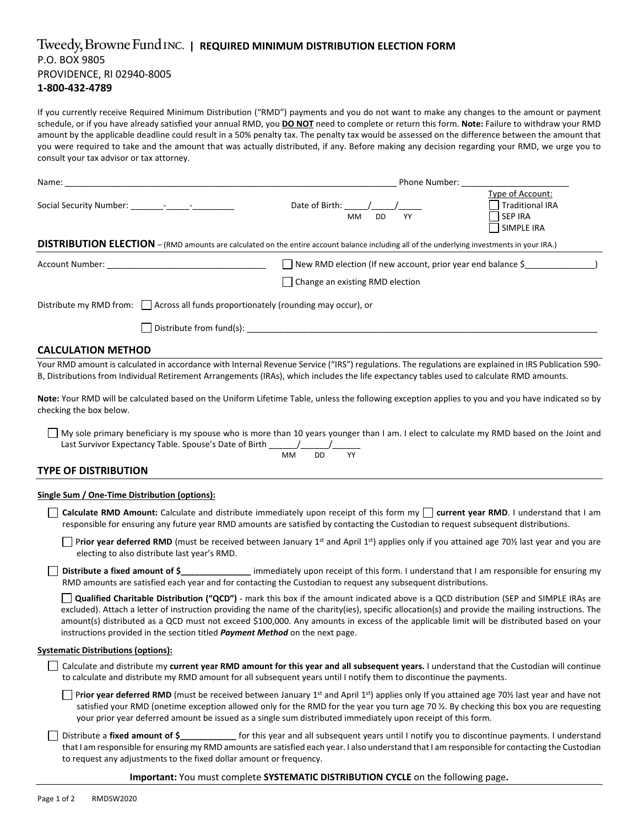# $\frac{1}{2}$  Tweedy, Browne Fund INC. | REQUIRED MINIMUM DISTRIBUTION ELECTION FORM P.O. BOX 9805 PROVIDENCE, RI 02940‐8005 **1‐800‐432‐4789**

If you currently receive Required Minimum Distribution ("RMD") payments and you do not want to make any changes to the amount or payment schedule, or if you have already satisfied your annual RMD, you **DO NOT** need to complete or return this form. **Note:** Failure to withdraw your RMD amount by the applicable deadline could result in a 50% penalty tax. The penalty tax would be assessed on the difference between the amount that you were required to take and the amount that was actually distributed, if any. Before making any decision regarding your RMD, we urge you to consult your tax advisor or tax attorney.

| Phone Number:   |                                                                                                                                                                                                                                                                                                                                                               |
|-----------------|---------------------------------------------------------------------------------------------------------------------------------------------------------------------------------------------------------------------------------------------------------------------------------------------------------------------------------------------------------------|
| МM<br>DD.<br>YY | Type of Account:<br><b>Traditional IRA</b><br><b>SEP IRA</b><br><b>SIMPLE IRA</b>                                                                                                                                                                                                                                                                             |
|                 |                                                                                                                                                                                                                                                                                                                                                               |
|                 |                                                                                                                                                                                                                                                                                                                                                               |
|                 |                                                                                                                                                                                                                                                                                                                                                               |
|                 |                                                                                                                                                                                                                                                                                                                                                               |
|                 |                                                                                                                                                                                                                                                                                                                                                               |
|                 | Date of Birth:<br>DISTRIBUTION ELECTION - (RMD amounts are calculated on the entire account balance including all of the underlying investments in your IRA.)<br>New RMD election (If new account, prior year end balance $\zeta$<br>Change an existing RMD election<br>Distribute my RMD from:     Across all funds proportionately (rounding may occur), or |

# **CALCULATION METHOD**

Your RMD amount is calculated in accordance with Internal Revenue Service ("IRS") regulations. The regulations are explained in IRS Publication 590-B, Distributions from Individual Retirement Arrangements (IRAs), which includes the life expectancy tables used to calculate RMD amounts.

**Note:** Your RMD will be calculated based on the Uniform Lifetime Table, unless the following exception applies to you and you have indicated so by checking the box below.

My sole primary beneficiary is my spouse who is more than 10 years younger than I am. I elect to calculate my RMD based on the Joint and Last Survivor Expectancy Table. Spouse's Date of Birth  $\frac{1}{2}$ 

$$
\overline{MM} = \overline{DD} = \overline{YY}
$$

### **TYPE OF DISTRIBUTION**

#### **Single Sum / One‐Time Distribution (options):**

**Calculate RMD Amount:** Calculate and distribute immediately upon receipt of this form my **current year RMD**. I understand that I am responsible for ensuring any future year RMD amounts are satisfied by contacting the Custodian to request subsequent distributions.

**Prior year deferred RMD** (must be received between January 1<sup>st</sup> and April 1<sup>st</sup>) applies only if you attained age 70½ last year and you are electing to also distribute last year's RMD.

**Distribute a fixed amount of \$\_\_\_\_\_\_\_\_\_\_\_\_\_\_\_** immediately upon receipt of this form. I understand that I am responsible for ensuring my RMD amounts are satisfied each year and for contacting the Custodian to request any subsequent distributions.

**Qualified Charitable Distribution ("QCD")** - mark this box if the amount indicated above is a QCD distribution (SEP and SIMPLE IRAs are excluded). Attach a letter of instruction providing the name of the charity(ies), specific allocation(s) and provide the mailing instructions. The amount(s) distributed as a QCD must not exceed \$100,000. Any amounts in excess of the applicable limit will be distributed based on your instructions provided in the section titled *Payment Method* on the next page.

#### **Systematic Distributions (options):**

Calculate and distribute my **current year RMD amount for this year and all subsequent years.** I understand that the Custodian will continue to calculate and distribute my RMD amount for all subsequent years until I notify them to discontinue the payments.

**Prior year deferred RMD** (must be received between January 1<sup>st</sup> and April 1<sup>st</sup>) applies only If you attained age 70½ last year and have not satisfied your RMD (onetime exception allowed only for the RMD for the year you turn age 70 ½. By checking this box you are requesting your prior year deferred amount be issued as a single sum distributed immediately upon receipt of this form.

Distribute a **fixed amount of \$\_\_\_\_\_\_\_\_\_\_\_\_** for this year and all subsequent years until I notify you to discontinue payments. I understand that I am responsible for ensuring my RMD amounts are satisfied each year. I also understand that I am responsible for contacting the Custodian to request any adjustments to the fixed dollar amount or frequency.

#### **Important:** You must complete **SYSTEMATIC DISTRIBUTION CYCLE** on the following page**.**